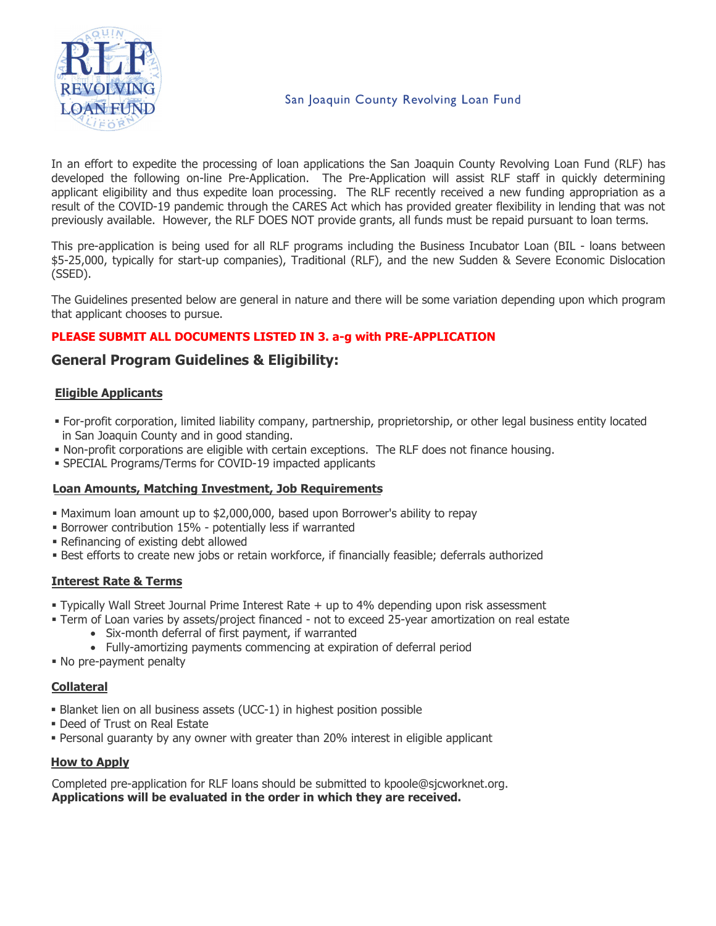

In an effort to expedite the processing of loan applications the San Joaquin County Revolving Loan Fund (RLF) has developed the following on-line Pre-Application. The Pre-Application will assist RLF staff in quickly determining applicant eligibility and thus expedite loan processing. The RLF recently received a new funding appropriation as a result of the COVID-19 pandemic through the CARES Act which has provided greater flexibility in lending that was not previously available. However, the RLF DOES NOT provide grants, all funds must be repaid pursuant to loan terms.

This pre-application is being used for all RLF programs including the Business Incubator Loan (BIL - loans between \$5-25,000, typically for start-up companies), Traditional (RLF), and the new Sudden & Severe Economic Dislocation (SSED).

The Guidelines presented below are general in nature and there will be some variation depending upon which program that applicant chooses to pursue.

## **PLEASE SUBMIT ALL DOCUMENTS LISTED IN 3. a-g with PRE-APPLICATION**

## **General Program Guidelines & Eligibility:**

## **Eligible Applicants**

- For-profit corporation, limited liability company, partnership, proprietorship, or other legal business entity located in San Joaquin County and in good standing.
- Non-profit corporations are eligible with certain exceptions. The RLF does not finance housing.
- SPECIAL Programs/Terms for COVID-19 impacted applicants

### **Loan Amounts, Matching Investment, Job Requirements**

- Maximum loan amount up to \$2,000,000, based upon Borrower's ability to repay
- Borrower contribution 15% potentially less if warranted
- Refinancing of existing debt allowed
- **Best efforts to create new jobs or retain workforce, if financially feasible; deferrals authorized**

### **Interest Rate & Terms**

- Typically Wall Street Journal Prime Interest Rate + up to 4% depending upon risk assessment
- Term of Loan varies by assets/project financed not to exceed 25-year amortization on real estate
	- Six-month deferral of first payment, if warranted
	- Fully-amortizing payments commencing at expiration of deferral period
- No pre-payment penalty

### **Collateral**

- Blanket lien on all business assets (UCC-1) in highest position possible
- Deed of Trust on Real Estate
- Personal guaranty by any owner with greater than 20% interest in eligible applicant

### **How to Apply**

Completed pre-application for RLF loans should be submitted to kpoole@sjcworknet.org. **Applications will be evaluated in the order in which they are received.**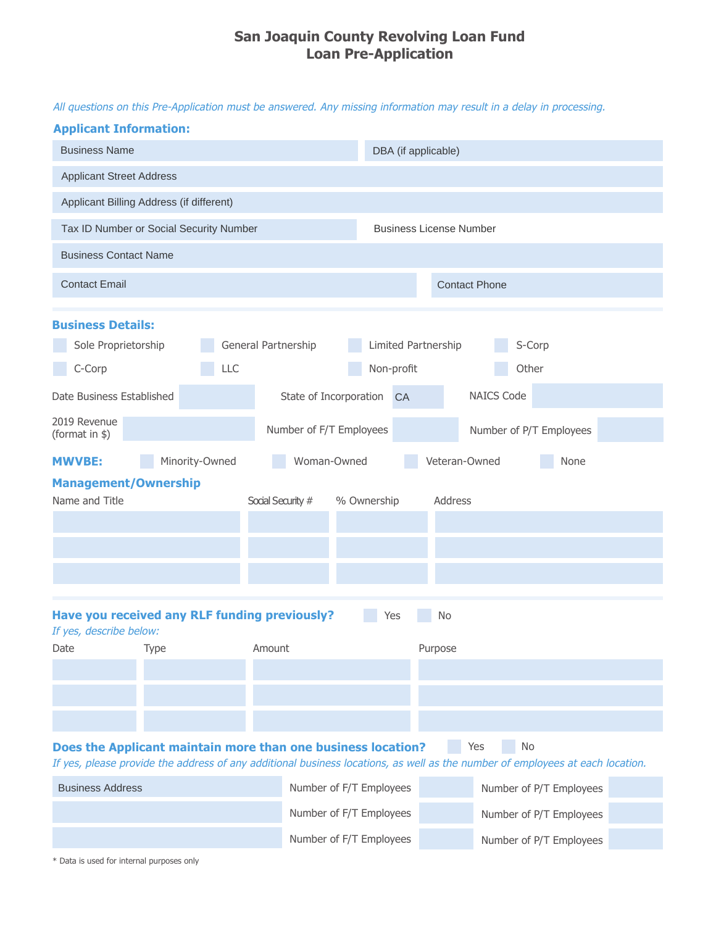## **San Joaquin County Revolving Loan Fund Loan Pre-Application**

All questions on this Pre-Application must be answered. Any missing information may result in a delay in processing.

#### **Applicant Information:**

| <b>Business Name</b>                                                     |                |                            |                           | DBA (if applicable)               |                                                                                                                                                   |                         |
|--------------------------------------------------------------------------|----------------|----------------------------|---------------------------|-----------------------------------|---------------------------------------------------------------------------------------------------------------------------------------------------|-------------------------|
| <b>Applicant Street Address</b>                                          |                |                            |                           |                                   |                                                                                                                                                   |                         |
| Applicant Billing Address (if different)                                 |                |                            |                           |                                   |                                                                                                                                                   |                         |
| Tax ID Number or Social Security Number                                  |                |                            |                           | <b>Business License Number</b>    |                                                                                                                                                   |                         |
| <b>Business Contact Name</b>                                             |                |                            |                           |                                   |                                                                                                                                                   |                         |
| <b>Contact Email</b>                                                     |                |                            |                           |                                   | <b>Contact Phone</b>                                                                                                                              |                         |
| <b>Business Details:</b><br>Sole Proprietorship<br>C-Corp                |                | General Partnership<br>LLC |                           | Limited Partnership<br>Non-profit | S-Corp<br>Other                                                                                                                                   |                         |
| Date Business Established                                                |                |                            | State of Incorporation CA |                                   | <b>NAICS Code</b>                                                                                                                                 |                         |
| 2019 Revenue<br>(format in \$)                                           |                |                            | Number of F/T Employees   |                                   | Number of P/T Employees                                                                                                                           |                         |
| <b>MWVBE:</b>                                                            | Minority-Owned |                            | Woman-Owned               |                                   | Veteran-Owned                                                                                                                                     | None                    |
| <b>Management/Ownership</b><br>Name and Title                            |                |                            | Social Security #         | % Ownership                       | Address                                                                                                                                           |                         |
| Have you received any RLF funding previously?<br>If yes, describe below: |                |                            |                           | Yes                               | No                                                                                                                                                |                         |
| Type<br>Date                                                             |                | Amount                     |                           |                                   | Purpose                                                                                                                                           |                         |
|                                                                          |                |                            |                           |                                   |                                                                                                                                                   |                         |
| Does the Applicant maintain more than one business location?             |                |                            |                           |                                   | Yes<br><b>No</b><br>If yes, please provide the address of any additional business locations, as well as the number of employees at each location. |                         |
| <b>Business Address</b>                                                  |                |                            | Number of F/T Employees   |                                   |                                                                                                                                                   | Number of P/T Employees |
|                                                                          |                |                            | Number of F/T Employees   |                                   |                                                                                                                                                   | Number of P/T Employees |
|                                                                          |                |                            | Number of F/T Employees   |                                   |                                                                                                                                                   | Number of P/T Employees |

\* Data is used for internal purposes only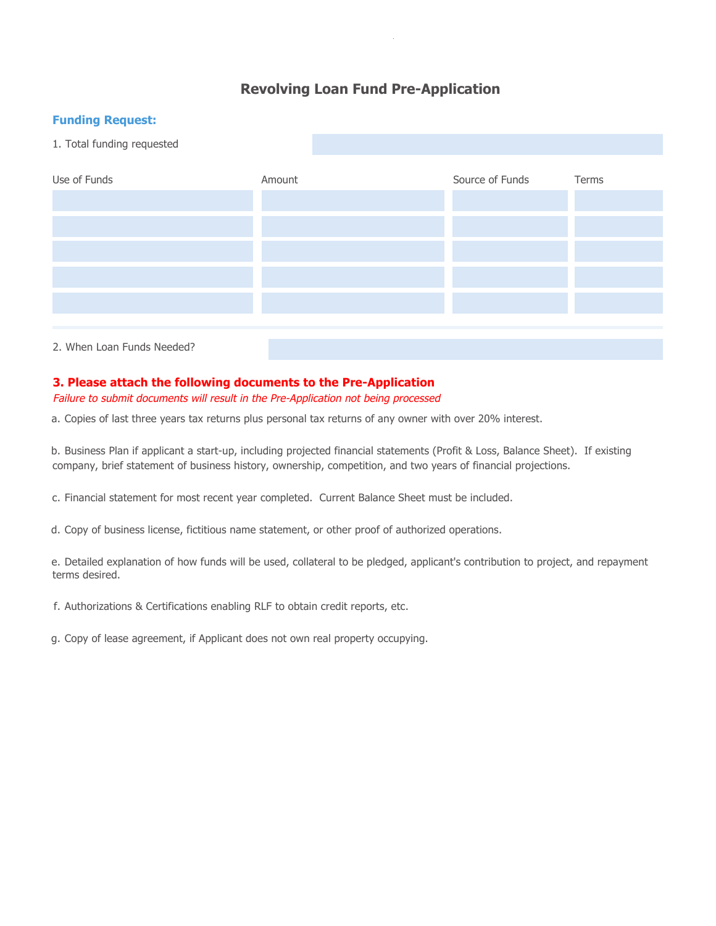## **Revolving Loan Fund Pre-Application**

## **Funding Request:**



## **3. Please attach the following documents to the Pre-Application**

Failure to submit documents will result in the Pre-Application not being processed

a. Copies of last three years tax returns plus personal tax returns of any owner with over 20% interest.

b. Business Plan if applicant a start-up, including projected financial statements (Profit & Loss, Balance Sheet). If existing company, brief statement of business history, ownership, competition, and two years of financial projections.

c. Financial statement for most recent year completed. Current Balance Sheet must be included.

d. Copy of business license, fictitious name statement, or other proof of authorized operations.

e. Detailed explanation of how funds will be used, collateral to be pledged, applicant's contribution to project, and repayment terms desired.

f. Authorizations & Certifications enabling RLF to obtain credit reports, etc.

g. Copy of lease agreement, if Applicant does not own real property occupying.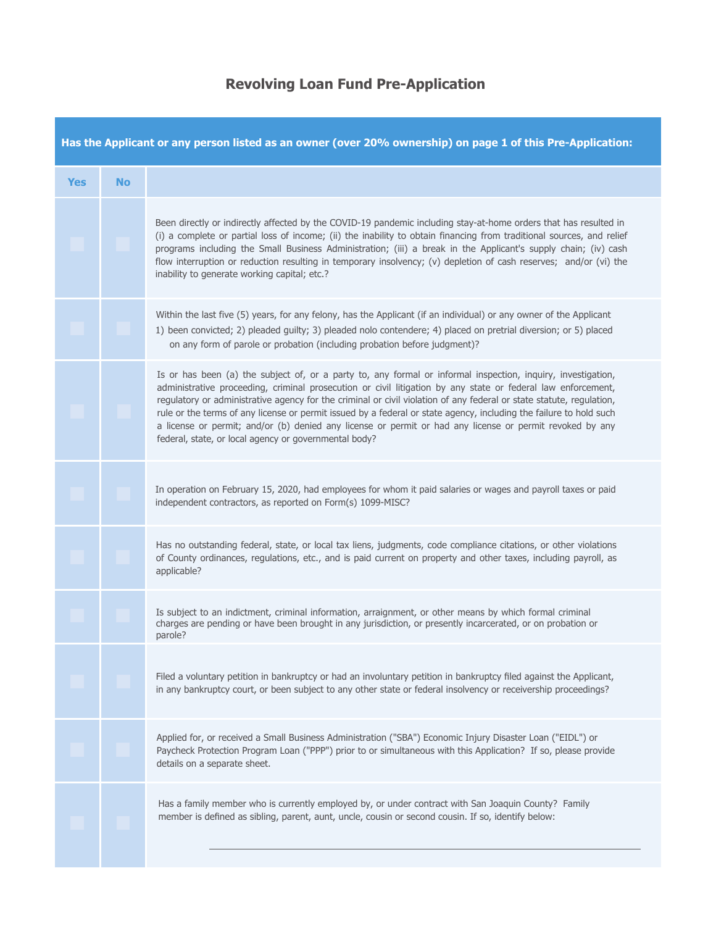# **Revolving Loan Fund Pre-Application**

| Has the Applicant or any person listed as an owner (over 20% ownership) on page 1 of this Pre-Application: |           |                                                                                                                                                                                                                                                                                                                                                                                                                                                                                                                                                                                                                                                 |  |  |  |  |
|------------------------------------------------------------------------------------------------------------|-----------|-------------------------------------------------------------------------------------------------------------------------------------------------------------------------------------------------------------------------------------------------------------------------------------------------------------------------------------------------------------------------------------------------------------------------------------------------------------------------------------------------------------------------------------------------------------------------------------------------------------------------------------------------|--|--|--|--|
| <b>Yes</b>                                                                                                 | <b>No</b> |                                                                                                                                                                                                                                                                                                                                                                                                                                                                                                                                                                                                                                                 |  |  |  |  |
|                                                                                                            |           | Been directly or indirectly affected by the COVID-19 pandemic including stay-at-home orders that has resulted in<br>(i) a complete or partial loss of income; (ii) the inability to obtain financing from traditional sources, and relief<br>programs including the Small Business Administration; (iii) a break in the Applicant's supply chain; (iv) cash<br>flow interruption or reduction resulting in temporary insolvency; (v) depletion of cash reserves; and/or (vi) the<br>inability to generate working capital; etc.?                                                                                                                |  |  |  |  |
|                                                                                                            |           | Within the last five (5) years, for any felony, has the Applicant (if an individual) or any owner of the Applicant<br>1) been convicted; 2) pleaded guilty; 3) pleaded nolo contendere; 4) placed on pretrial diversion; or 5) placed<br>on any form of parole or probation (including probation before judgment)?                                                                                                                                                                                                                                                                                                                              |  |  |  |  |
|                                                                                                            |           | Is or has been (a) the subject of, or a party to, any formal or informal inspection, inquiry, investigation,<br>administrative proceeding, criminal prosecution or civil litigation by any state or federal law enforcement,<br>regulatory or administrative agency for the criminal or civil violation of any federal or state statute, regulation,<br>rule or the terms of any license or permit issued by a federal or state agency, including the failure to hold such<br>a license or permit; and/or (b) denied any license or permit or had any license or permit revoked by any<br>federal, state, or local agency or governmental body? |  |  |  |  |
|                                                                                                            |           | In operation on February 15, 2020, had employees for whom it paid salaries or wages and payroll taxes or paid<br>independent contractors, as reported on Form(s) 1099-MISC?                                                                                                                                                                                                                                                                                                                                                                                                                                                                     |  |  |  |  |
|                                                                                                            |           | Has no outstanding federal, state, or local tax liens, judgments, code compliance citations, or other violations<br>of County ordinances, regulations, etc., and is paid current on property and other taxes, including payroll, as<br>applicable?                                                                                                                                                                                                                                                                                                                                                                                              |  |  |  |  |
|                                                                                                            |           | Is subject to an indictment, criminal information, arraignment, or other means by which formal criminal<br>charges are pending or have been brought in any jurisdiction, or presently incarcerated, or on probation or<br>parole?                                                                                                                                                                                                                                                                                                                                                                                                               |  |  |  |  |
|                                                                                                            |           | Filed a voluntary petition in bankruptcy or had an involuntary petition in bankruptcy filed against the Applicant,<br>in any bankruptcy court, or been subject to any other state or federal insolvency or receivership proceedings?                                                                                                                                                                                                                                                                                                                                                                                                            |  |  |  |  |
|                                                                                                            |           | Applied for, or received a Small Business Administration ("SBA") Economic Injury Disaster Loan ("EIDL") or<br>Paycheck Protection Program Loan ("PPP") prior to or simultaneous with this Application? If so, please provide<br>details on a separate sheet.                                                                                                                                                                                                                                                                                                                                                                                    |  |  |  |  |
|                                                                                                            |           | Has a family member who is currently employed by, or under contract with San Joaquin County? Family<br>member is defined as sibling, parent, aunt, uncle, cousin or second cousin. If so, identify below:                                                                                                                                                                                                                                                                                                                                                                                                                                       |  |  |  |  |